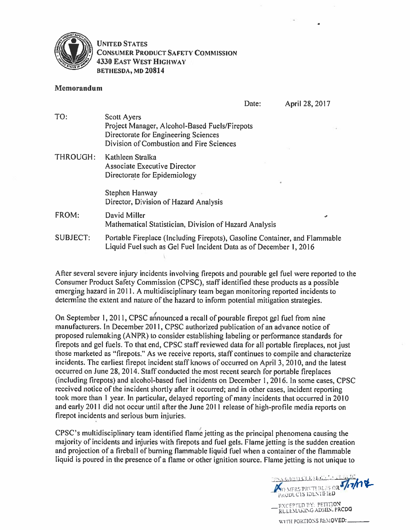

## **UNITED STATES CONSUMER PRODUCT SAFETY COMMISSION 4330 EAST WEST HIGHWAY** BETHESDA, MD 20814

## Memorandum

Date:

April 28, 2017

| TO:             | <b>Scott Ayers</b>                                                         |  |  |  |
|-----------------|----------------------------------------------------------------------------|--|--|--|
|                 | Project Manager, Alcohol-Based Fuels/Firepots                              |  |  |  |
|                 | Directorate for Engineering Sciences                                       |  |  |  |
|                 | Division of Combustion and Fire Sciences                                   |  |  |  |
| <b>THROUGH:</b> | Kathleen Stralka                                                           |  |  |  |
|                 | Associate Executive Director                                               |  |  |  |
|                 | Directorate for Epidemiology                                               |  |  |  |
|                 |                                                                            |  |  |  |
|                 | Stephen Hanway                                                             |  |  |  |
|                 | Director, Division of Hazard Analysis                                      |  |  |  |
| FROM:           | David Miller<br>ø                                                          |  |  |  |
|                 | Mathematical Statistician, Division of Hazard Analysis                     |  |  |  |
| <b>SUBJECT:</b> | Portable Fireplace (Including Firepots), Gasoline Container, and Flammable |  |  |  |
|                 | Liquid Fuel such as Gel Fuel Incident Data as of December 1, 2016          |  |  |  |

After several severe injury incidents involving firepots and pourable gel fuel were reported to the Consumer Product Safety Commission (CPSC), staff identified these products as a possible emerging hazard in 2011. A multidisciplinary team began monitoring reported incidents to determine the extent and nature of the hazard to inform potential mitigation strategies.

On September 1, 2011, CPSC announced a recall of pourable firepot gel fuel from nine manufacturers. In December 2011, CPSC authorized publication of an advance notice of proposed rulemaking (ANPR) to consider establishing labeling or performance standards for firepots and gel fuels. To that end, CPSC staff reviewed data for all portable fireplaces, not just those marketed as "firepots." As we receive reports, staff continues to compile and characterize incidents. The earliest firepot incident staff knows of occurred on April 3, 2010, and the latest occurred on June 28, 2014. Staff conducted the most recent search for portable fireplaces (including firepots) and alcohol-based fuel incidents on December 1, 2016. In some cases, CPSC received notice of the incident shortly after it occurred; and in other cases, incident reporting took more than 1 year. In particular, delayed reporting of many incidents that occurred in 2010 and early 2011 did not occur until after the June 2011 release of high-profile media reports on firepot incidents and serious burn injuries.

CPSC's multidisciplinary team identified flame jetting as the principal phenomena causing the majority of incidents and injuries with firepots and fuel gels. Flame jetting is the sudden creation and projection of a fireball of burning flammable liquid fuel when a container of the flammable liquid is poured in the presence of a flame or other ignition source. Flame jetting is not unique to

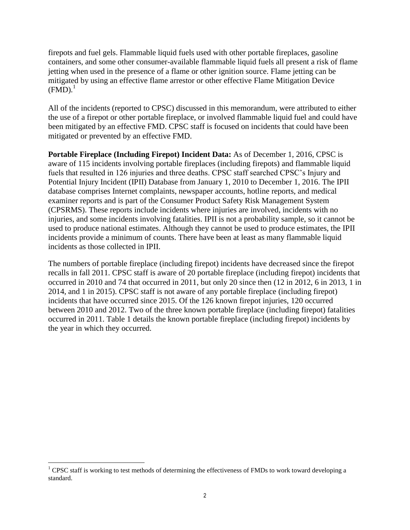firepots and fuel gels. Flammable liquid fuels used with other portable fireplaces, gasoline containers, and some other consumer-available flammable liquid fuels all present a risk of flame jetting when used in the presence of a flame or other ignition source. Flame jetting can be mitigated by using an effective flame arrestor or other effective Flame Mitigation Device  $(FMD).$ <sup>1</sup>

All of the incidents (reported to CPSC) discussed in this memorandum, were attributed to either the use of a firepot or other portable fireplace, or involved flammable liquid fuel and could have been mitigated by an effective FMD. CPSC staff is focused on incidents that could have been mitigated or prevented by an effective FMD.

**Portable Fireplace (Including Firepot) Incident Data:** As of December 1, 2016, CPSC is aware of 115 incidents involving portable fireplaces (including firepots) and flammable liquid fuels that resulted in 126 injuries and three deaths. CPSC staff searched CPSC's Injury and Potential Injury Incident (IPII) Database from January 1, 2010 to December 1, 2016. The IPII database comprises Internet complaints, newspaper accounts, hotline reports, and medical examiner reports and is part of the Consumer Product Safety Risk Management System (CPSRMS). These reports include incidents where injuries are involved, incidents with no injuries, and some incidents involving fatalities. IPII is not a probability sample, so it cannot be used to produce national estimates. Although they cannot be used to produce estimates, the IPII incidents provide a minimum of counts. There have been at least as many flammable liquid incidents as those collected in IPII.

The numbers of portable fireplace (including firepot) incidents have decreased since the firepot recalls in fall 2011. CPSC staff is aware of 20 portable fireplace (including firepot) incidents that occurred in 2010 and 74 that occurred in 2011, but only 20 since then (12 in 2012, 6 in 2013, 1 in 2014, and 1 in 2015). CPSC staff is not aware of any portable fireplace (including firepot) incidents that have occurred since 2015. Of the 126 known firepot injuries, 120 occurred between 2010 and 2012. Two of the three known portable fireplace (including firepot) fatalities occurred in 2011. Table 1 details the known portable fireplace (including firepot) incidents by the year in which they occurred.

 $1$  CPSC staff is working to test methods of determining the effectiveness of FMDs to work toward developing a standard.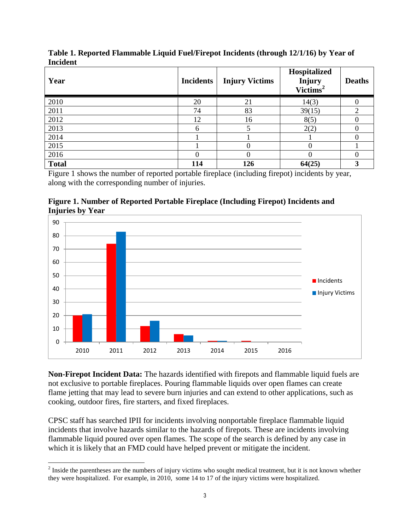| Year         | <b>Incidents</b> | <b>Injury Victims</b> | Hospitalized<br>Injury<br>Victims <sup>2</sup> | <b>Deaths</b> |
|--------------|------------------|-----------------------|------------------------------------------------|---------------|
| 2010         | 20               | 21                    | 14(3)                                          |               |
| 2011         | 74               | 83                    | 39(15)                                         | ↑             |
| 2012         | 12               | 16                    | 8(5)                                           |               |
| 2013         | 6                |                       | 2(2)                                           |               |
| 2014         |                  |                       |                                                |               |
| 2015         |                  | 0                     |                                                |               |
| 2016         | 0                | 0                     |                                                |               |
| <b>Total</b> | 114              | 126                   | 64(25)                                         |               |

**Table 1. Reported Flammable Liquid Fuel/Firepot Incidents (through 12/1/16) by Year of Incident**

Figure 1 shows the number of reported portable fireplace (including firepot) incidents by year, along with the corresponding number of injuries.

**Figure 1. Number of Reported Portable Fireplace (Including Firepot) Incidents and Injuries by Year**



**Non-Firepot Incident Data:** The hazards identified with firepots and flammable liquid fuels are not exclusive to portable fireplaces. Pouring flammable liquids over open flames can create flame jetting that may lead to severe burn injuries and can extend to other applications, such as cooking, outdoor fires, fire starters, and fixed fireplaces.

CPSC staff has searched IPII for incidents involving nonportable fireplace flammable liquid incidents that involve hazards similar to the hazards of firepots. These are incidents involving flammable liquid poured over open flames. The scope of the search is defined by any case in which it is likely that an FMD could have helped prevent or mitigate the incident.

 $2^{2}$  Inside the parentheses are the numbers of injury victims who sought medical treatment, but it is not known whether they were hospitalized. For example, in 2010, some 14 to 17 of the injury victims were hospitalized.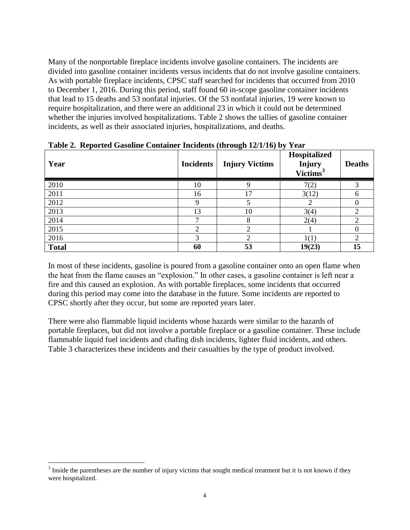Many of the nonportable fireplace incidents involve gasoline containers. The incidents are divided into gasoline container incidents versus incidents that do not involve gasoline containers. As with portable fireplace incidents, CPSC staff searched for incidents that occurred from 2010 to December 1, 2016. During this period, staff found 60 in-scope gasoline container incidents that lead to 15 deaths and 53 nonfatal injuries. Of the 53 nonfatal injuries, 19 were known to require hospitalization, and there were an additional 23 in which it could not be determined whether the injuries involved hospitalizations. Table 2 shows the tallies of gasoline container incidents, as well as their associated injuries, hospitalizations, and deaths.

| Year         | <b>Incidents</b> | - 0<br>$\cdot$ $\cdot$ $\cdot$ $\cdot$ $\cdot$<br><b>Injury Victims</b> | Hospitalized<br>Injury<br>Victims <sup>3</sup> | <b>Deaths</b> |
|--------------|------------------|-------------------------------------------------------------------------|------------------------------------------------|---------------|
| 2010         | 10               |                                                                         | 7(2)                                           |               |
| 2011         | 16               | 17                                                                      | 3(12)                                          |               |
| 2012         | Q                |                                                                         |                                                |               |
| 2013         | 13               | 10                                                                      | 3(4)                                           |               |
| 2014         | ⇁                | 8                                                                       | 2(4)                                           |               |
| 2015         | ◠                | ◠                                                                       |                                                |               |
| 2016         | 3                |                                                                         | 1(1)                                           |               |
| <b>Total</b> | 60               | 53                                                                      | 19(23)                                         | 15            |

**Table 2. Reported Gasoline Container Incidents (through 12/1/16) by Year**

In most of these incidents, gasoline is poured from a gasoline container onto an open flame when the heat from the flame causes an "explosion." In other cases, a gasoline container is left near a fire and this caused an explosion. As with portable fireplaces, some incidents that occurred during this period may come into the database in the future. Some incidents are reported to CPSC shortly after they occur, but some are reported years later.

There were also flammable liquid incidents whose hazards were similar to the hazards of portable fireplaces, but did not involve a portable fireplace or a gasoline container. These include flammable liquid fuel incidents and chafing dish incidents, lighter fluid incidents, and others. Table 3 characterizes these incidents and their casualties by the type of product involved.

 $3$  Inside the parentheses are the number of injury victims that sought medical treatment but it is not known if they were hospitalized.